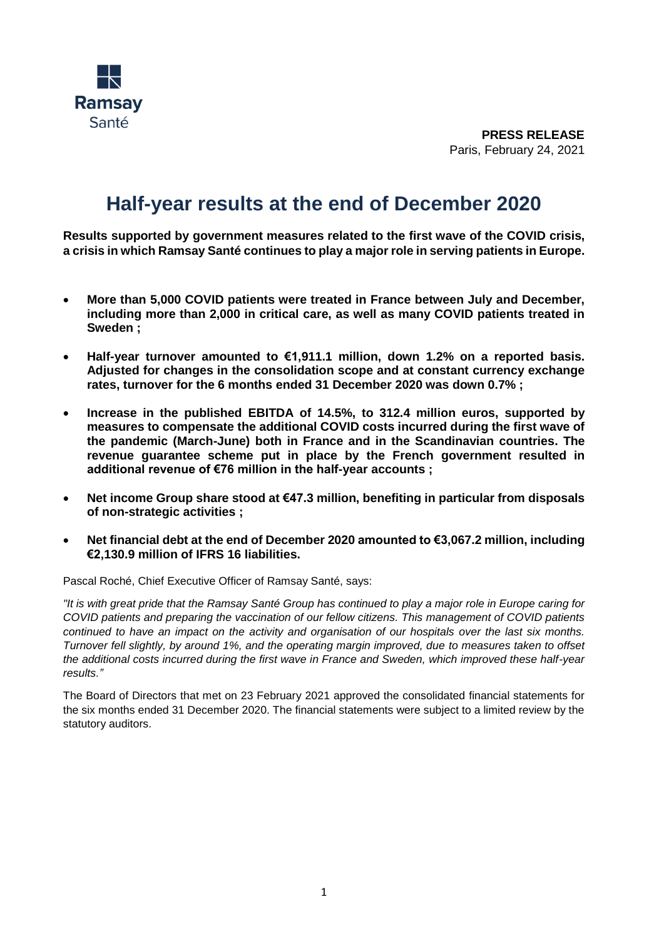

**PRESS RELEASE** Paris, February 24, 2021

# **Half-year results at the end of December 2020**

**Results supported by government measures related to the first wave of the COVID crisis, a crisis in which Ramsay Santé continues to play a major role in serving patients in Europe.**

- **More than 5,000 COVID patients were treated in France between July and December, including more than 2,000 in critical care, as well as many COVID patients treated in Sweden ;**
- **Half-year turnover amounted to €1,911.1 million, down 1.2% on a reported basis. Adjusted for changes in the consolidation scope and at constant currency exchange rates, turnover for the 6 months ended 31 December 2020 was down 0.7% ;**
- **Increase in the published EBITDA of 14.5%, to 312.4 million euros, supported by measures to compensate the additional COVID costs incurred during the first wave of the pandemic (March-June) both in France and in the Scandinavian countries. The revenue guarantee scheme put in place by the French government resulted in additional revenue of €76 million in the half-year accounts ;**
- **Net income Group share stood at €47.3 million, benefiting in particular from disposals of non-strategic activities ;**
- **Net financial debt at the end of December 2020 amounted to €3,067.2 million, including €2,130.9 million of IFRS 16 liabilities.**

Pascal Roché, Chief Executive Officer of Ramsay Santé, says:

*"It is with great pride that the Ramsay Santé Group has continued to play a major role in Europe caring for COVID patients and preparing the vaccination of our fellow citizens. This management of COVID patients continued to have an impact on the activity and organisation of our hospitals over the last six months. Turnover fell slightly, by around 1%, and the operating margin improved, due to measures taken to offset the additional costs incurred during the first wave in France and Sweden, which improved these half-year results."* 

The Board of Directors that met on 23 February 2021 approved the consolidated financial statements for the six months ended 31 December 2020. The financial statements were subject to a limited review by the statutory auditors.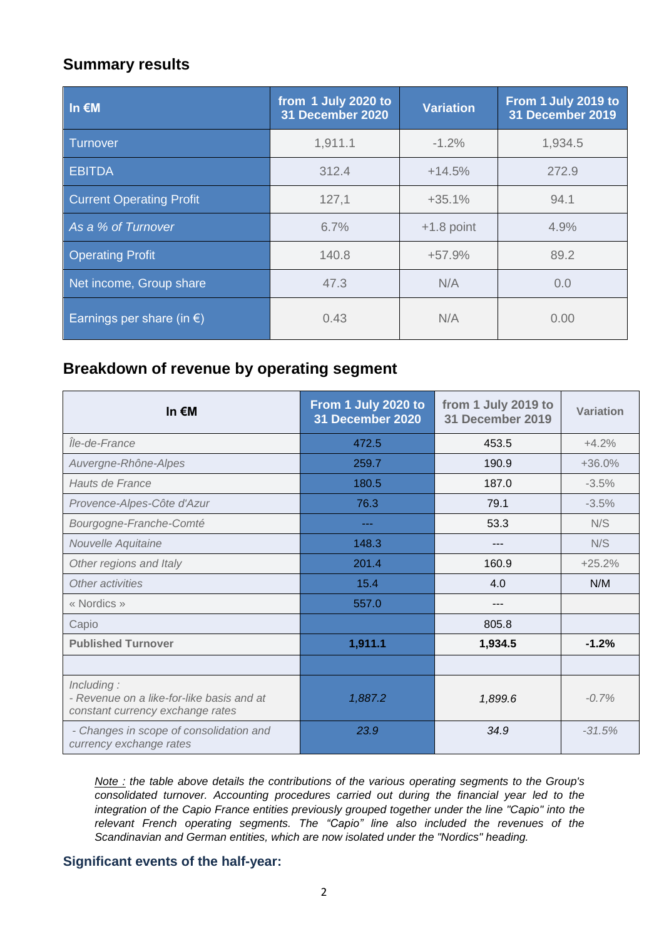## **Summary results**

| In $\epsilon$ M                     | from 1 July 2020 to<br>31 December 2020 | <b>Variation</b> | From 1 July 2019 to<br>31 December 2019 |
|-------------------------------------|-----------------------------------------|------------------|-----------------------------------------|
| Turnover                            | 1,911.1                                 | $-1.2%$          | 1,934.5                                 |
| <b>EBITDA</b>                       | 312.4                                   | $+14.5%$         | 272.9                                   |
| <b>Current Operating Profit</b>     | 127,1                                   | $+35.1%$         | 94.1                                    |
| As a % of Turnover                  | 6.7%                                    | $+1.8$ point     | 4.9%                                    |
| <b>Operating Profit</b>             | 140.8                                   | $+57.9%$         | 89.2                                    |
| Net income, Group share             | 47.3                                    | N/A              | 0.0                                     |
| Earnings per share (in $\epsilon$ ) | 0.43                                    | N/A              | 0.00                                    |

## **Breakdown of revenue by operating segment**

| In $\epsilon$ M                                                                             | From 1 July 2020 to<br>31 December 2020 | from 1 July 2019 to<br><b>31 December 2019</b> | Variation |
|---------------------------------------------------------------------------------------------|-----------------------------------------|------------------------------------------------|-----------|
| lle-de-France                                                                               | 472.5                                   | 453.5                                          | $+4.2%$   |
| Auvergne-Rhône-Alpes                                                                        | 259.7                                   | 190.9                                          | $+36.0%$  |
| Hauts de France                                                                             | 180.5                                   | 187.0                                          | $-3.5%$   |
| Provence-Alpes-Côte d'Azur                                                                  | 76.3                                    | 79.1                                           | $-3.5%$   |
| Bourgogne-Franche-Comté                                                                     |                                         | 53.3                                           | N/S       |
| Nouvelle Aquitaine                                                                          | 148.3                                   | ---                                            | N/S       |
| Other regions and Italy                                                                     | 201.4                                   | 160.9                                          | $+25.2%$  |
| Other activities                                                                            | 15.4                                    | 4.0                                            | N/M       |
| « Nordics »                                                                                 | 557.0                                   | ---                                            |           |
| Capio                                                                                       |                                         | 805.8                                          |           |
| <b>Published Turnover</b>                                                                   | 1,911.1                                 | 1,934.5                                        | $-1.2%$   |
|                                                                                             |                                         |                                                |           |
| Including:<br>- Revenue on a like-for-like basis and at<br>constant currency exchange rates | 1,887.2                                 | 1,899.6                                        | $-0.7%$   |
| - Changes in scope of consolidation and<br>currency exchange rates                          | 23.9                                    | 34.9                                           | $-31.5%$  |

*Note : the table above details the contributions of the various operating segments to the Group's consolidated turnover. Accounting procedures carried out during the financial year led to the integration of the Capio France entities previously grouped together under the line "Capio" into the relevant French operating segments. The "Capio" line also included the revenues of the Scandinavian and German entities, which are now isolated under the "Nordics" heading.*

## **Significant events of the half-year:**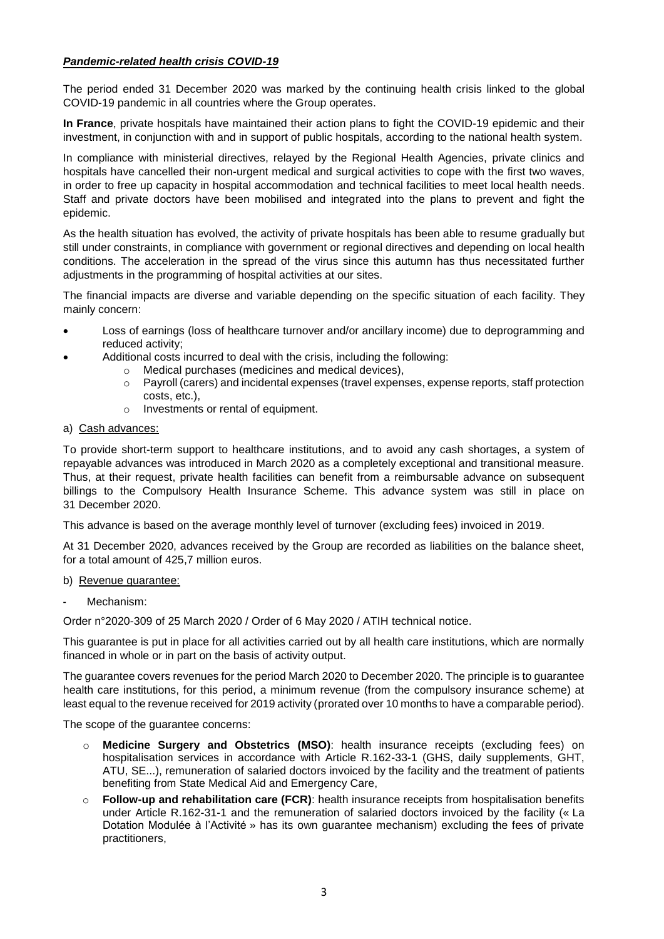#### *Pandemic-related health crisis COVID-19*

The period ended 31 December 2020 was marked by the continuing health crisis linked to the global COVID-19 pandemic in all countries where the Group operates.

**In France**, private hospitals have maintained their action plans to fight the COVID-19 epidemic and their investment, in conjunction with and in support of public hospitals, according to the national health system.

In compliance with ministerial directives, relayed by the Regional Health Agencies, private clinics and hospitals have cancelled their non-urgent medical and surgical activities to cope with the first two waves, in order to free up capacity in hospital accommodation and technical facilities to meet local health needs. Staff and private doctors have been mobilised and integrated into the plans to prevent and fight the epidemic.

As the health situation has evolved, the activity of private hospitals has been able to resume gradually but still under constraints, in compliance with government or regional directives and depending on local health conditions. The acceleration in the spread of the virus since this autumn has thus necessitated further adjustments in the programming of hospital activities at our sites.

The financial impacts are diverse and variable depending on the specific situation of each facility. They mainly concern:

- Loss of earnings (loss of healthcare turnover and/or ancillary income) due to deprogramming and reduced activity;
- Additional costs incurred to deal with the crisis, including the following:
	- o Medical purchases (medicines and medical devices),
	- o Payroll (carers) and incidental expenses (travel expenses, expense reports, staff protection costs, etc.),
	- o Investments or rental of equipment.
- a) Cash advances:

To provide short-term support to healthcare institutions, and to avoid any cash shortages, a system of repayable advances was introduced in March 2020 as a completely exceptional and transitional measure. Thus, at their request, private health facilities can benefit from a reimbursable advance on subsequent billings to the Compulsory Health Insurance Scheme. This advance system was still in place on 31 December 2020.

This advance is based on the average monthly level of turnover (excluding fees) invoiced in 2019.

At 31 December 2020, advances received by the Group are recorded as liabilities on the balance sheet, for a total amount of 425,7 million euros.

#### b) Revenue guarantee:

Mechanism:

Order n°2020-309 of 25 March 2020 / Order of 6 May 2020 / ATIH technical notice.

This guarantee is put in place for all activities carried out by all health care institutions, which are normally financed in whole or in part on the basis of activity output.

The guarantee covers revenues for the period March 2020 to December 2020. The principle is to guarantee health care institutions, for this period, a minimum revenue (from the compulsory insurance scheme) at least equal to the revenue received for 2019 activity (prorated over 10 months to have a comparable period).

The scope of the guarantee concerns:

- o **Medicine Surgery and Obstetrics (MSO)**: health insurance receipts (excluding fees) on hospitalisation services in accordance with Article R.162-33-1 (GHS, daily supplements, GHT, ATU, SE...), remuneration of salaried doctors invoiced by the facility and the treatment of patients benefiting from State Medical Aid and Emergency Care,
- o **Follow-up and rehabilitation care (FCR)**: health insurance receipts from hospitalisation benefits under Article R.162-31-1 and the remuneration of salaried doctors invoiced by the facility (« La Dotation Modulée à l'Activité » has its own guarantee mechanism) excluding the fees of private practitioners,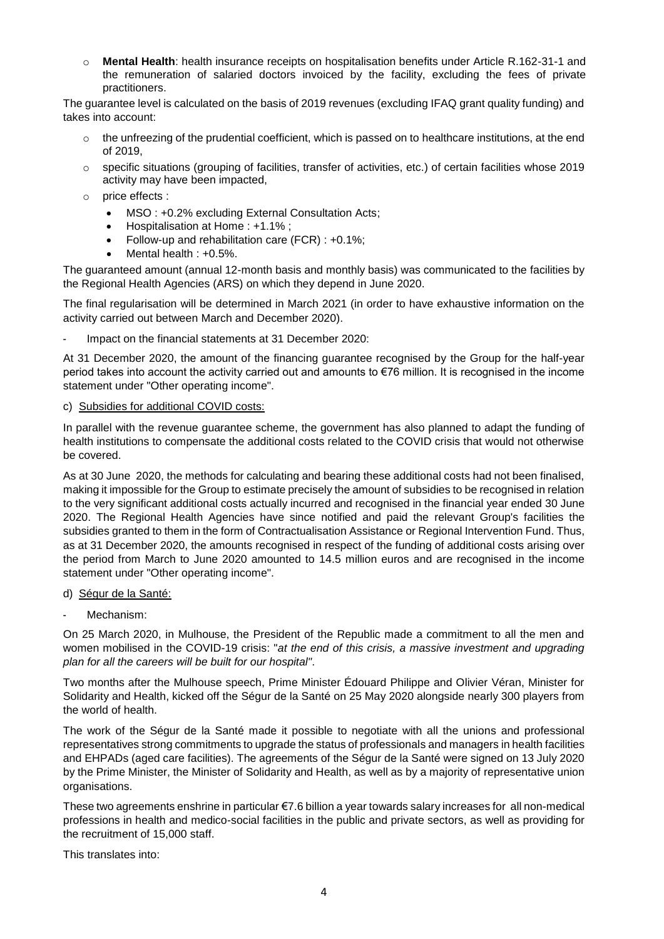o **Mental Health**: health insurance receipts on hospitalisation benefits under Article R.162-31-1 and the remuneration of salaried doctors invoiced by the facility, excluding the fees of private practitioners.

The guarantee level is calculated on the basis of 2019 revenues (excluding IFAQ grant quality funding) and takes into account:

- $\circ$  the unfreezing of the prudential coefficient, which is passed on to healthcare institutions, at the end of 2019,
- o specific situations (grouping of facilities, transfer of activities, etc.) of certain facilities whose 2019 activity may have been impacted,
- o price effects :
	- MSO : +0.2% excluding External Consultation Acts;
	- Hospitalisation at Home : +1.1% ;
	- Follow-up and rehabilitation care (FCR) : +0.1%;
	- Mental health : +0.5%.

The guaranteed amount (annual 12-month basis and monthly basis) was communicated to the facilities by the Regional Health Agencies (ARS) on which they depend in June 2020.

The final regularisation will be determined in March 2021 (in order to have exhaustive information on the activity carried out between March and December 2020).

Impact on the financial statements at 31 December 2020:

At 31 December 2020, the amount of the financing guarantee recognised by the Group for the half-year period takes into account the activity carried out and amounts to €76 million. It is recognised in the income statement under "Other operating income".

#### c) Subsidies for additional COVID costs:

In parallel with the revenue guarantee scheme, the government has also planned to adapt the funding of health institutions to compensate the additional costs related to the COVID crisis that would not otherwise be covered.

As at 30 June 2020, the methods for calculating and bearing these additional costs had not been finalised, making it impossible for the Group to estimate precisely the amount of subsidies to be recognised in relation to the very significant additional costs actually incurred and recognised in the financial year ended 30 June 2020. The Regional Health Agencies have since notified and paid the relevant Group's facilities the subsidies granted to them in the form of Contractualisation Assistance or Regional Intervention Fund. Thus, as at 31 December 2020, the amounts recognised in respect of the funding of additional costs arising over the period from March to June 2020 amounted to 14.5 million euros and are recognised in the income statement under "Other operating income".

#### d) Ségur de la Santé:

Mechanism:

On 25 March 2020, in Mulhouse, the President of the Republic made a commitment to all the men and women mobilised in the COVID-19 crisis: "*at the end of this crisis, a massive investment and upgrading plan for all the careers will be built for our hospital"*.

Two months after the Mulhouse speech, Prime Minister Édouard Philippe and Olivier Véran, Minister for Solidarity and Health, kicked off the Ségur de la Santé on 25 May 2020 alongside nearly 300 players from the world of health.

The work of the Ségur de la Santé made it possible to negotiate with all the unions and professional representatives strong commitments to upgrade the status of professionals and managers in health facilities and EHPADs (aged care facilities). The agreements of the Ségur de la Santé were signed on 13 July 2020 by the Prime Minister, the Minister of Solidarity and Health, as well as by a majority of representative union organisations.

These two agreements enshrine in particular €7.6 billion a year towards salary increases for all non-medical professions in health and medico-social facilities in the public and private sectors, as well as providing for the recruitment of 15,000 staff.

This translates into: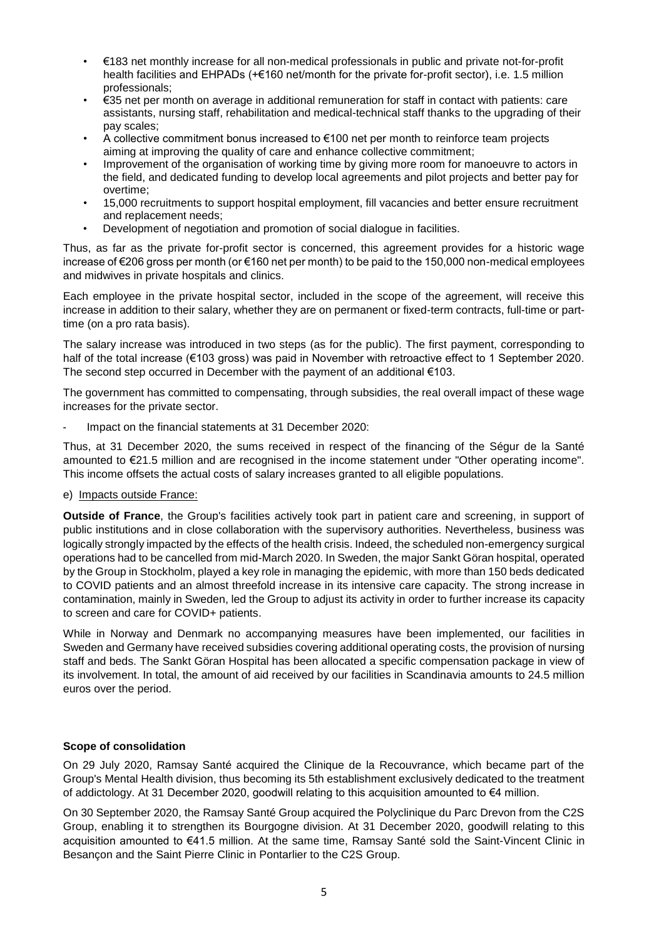- €183 net monthly increase for all non-medical professionals in public and private not-for-profit health facilities and EHPADs (+€160 net/month for the private for-profit sector), i.e. 1.5 million professionals;
- €35 net per month on average in additional remuneration for staff in contact with patients: care assistants, nursing staff, rehabilitation and medical-technical staff thanks to the upgrading of their pay scales;
- A collective commitment bonus increased to €100 net per month to reinforce team projects aiming at improving the quality of care and enhance collective commitment;
- Improvement of the organisation of working time by giving more room for manoeuvre to actors in the field, and dedicated funding to develop local agreements and pilot projects and better pay for overtime;
- 15,000 recruitments to support hospital employment, fill vacancies and better ensure recruitment and replacement needs;
- Development of negotiation and promotion of social dialogue in facilities.

Thus, as far as the private for-profit sector is concerned, this agreement provides for a historic wage increase of €206 gross per month (or €160 net per month) to be paid to the 150,000 non-medical employees and midwives in private hospitals and clinics.

Each employee in the private hospital sector, included in the scope of the agreement, will receive this increase in addition to their salary, whether they are on permanent or fixed-term contracts, full-time or parttime (on a pro rata basis).

The salary increase was introduced in two steps (as for the public). The first payment, corresponding to half of the total increase (€103 gross) was paid in November with retroactive effect to 1 September 2020. The second step occurred in December with the payment of an additional  $€103$ .

The government has committed to compensating, through subsidies, the real overall impact of these wage increases for the private sector.

Impact on the financial statements at 31 December 2020:

Thus, at 31 December 2020, the sums received in respect of the financing of the Ségur de la Santé amounted to €21.5 million and are recognised in the income statement under "Other operating income". This income offsets the actual costs of salary increases granted to all eligible populations.

e) Impacts outside France:

**Outside of France**, the Group's facilities actively took part in patient care and screening, in support of public institutions and in close collaboration with the supervisory authorities. Nevertheless, business was logically strongly impacted by the effects of the health crisis. Indeed, the scheduled non-emergency surgical operations had to be cancelled from mid-March 2020. In Sweden, the major Sankt Göran hospital, operated by the Group in Stockholm, played a key role in managing the epidemic, with more than 150 beds dedicated to COVID patients and an almost threefold increase in its intensive care capacity. The strong increase in contamination, mainly in Sweden, led the Group to adjust its activity in order to further increase its capacity to screen and care for COVID+ patients.

While in Norway and Denmark no accompanying measures have been implemented, our facilities in Sweden and Germany have received subsidies covering additional operating costs, the provision of nursing staff and beds. The Sankt Göran Hospital has been allocated a specific compensation package in view of its involvement. In total, the amount of aid received by our facilities in Scandinavia amounts to 24.5 million euros over the period.

#### **Scope of consolidation**

On 29 July 2020, Ramsay Santé acquired the Clinique de la Recouvrance, which became part of the Group's Mental Health division, thus becoming its 5th establishment exclusively dedicated to the treatment of addictology. At 31 December 2020, goodwill relating to this acquisition amounted to €4 million.

On 30 September 2020, the Ramsay Santé Group acquired the Polyclinique du Parc Drevon from the C2S Group, enabling it to strengthen its Bourgogne division. At 31 December 2020, goodwill relating to this acquisition amounted to €41.5 million. At the same time, Ramsay Santé sold the Saint-Vincent Clinic in Besançon and the Saint Pierre Clinic in Pontarlier to the C2S Group.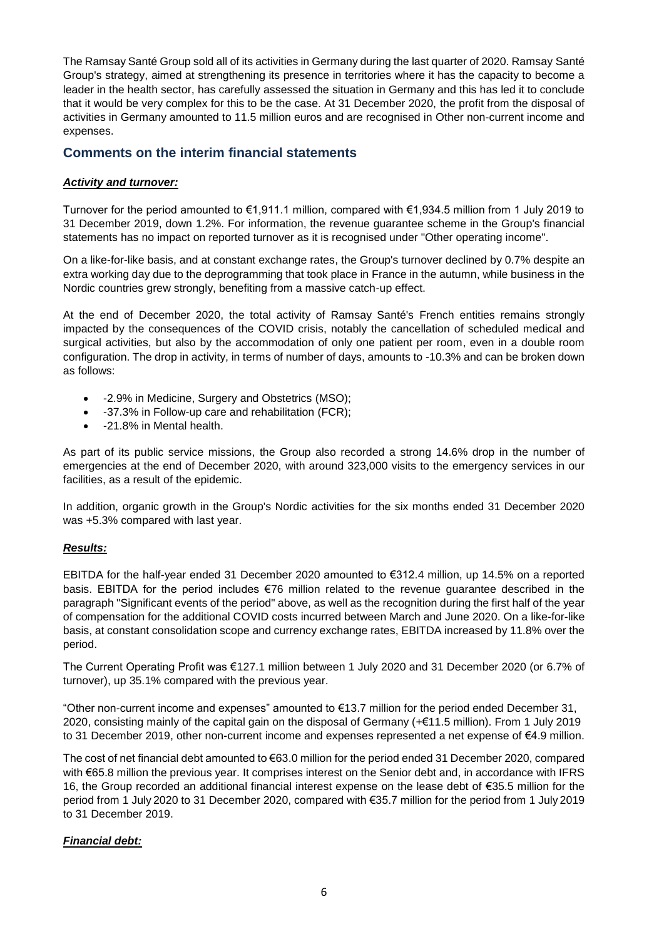The Ramsay Santé Group sold all of its activities in Germany during the last quarter of 2020. Ramsay Santé Group's strategy, aimed at strengthening its presence in territories where it has the capacity to become a leader in the health sector, has carefully assessed the situation in Germany and this has led it to conclude that it would be very complex for this to be the case. At 31 December 2020, the profit from the disposal of activities in Germany amounted to 11.5 million euros and are recognised in Other non-current income and expenses.

#### **Comments on the interim financial statements**

#### *Activity and turnover:*

Turnover for the period amounted to €1,911.1 million, compared with €1,934.5 million from 1 July 2019 to 31 December 2019, down 1.2%. For information, the revenue guarantee scheme in the Group's financial statements has no impact on reported turnover as it is recognised under "Other operating income".

On a like-for-like basis, and at constant exchange rates, the Group's turnover declined by 0.7% despite an extra working day due to the deprogramming that took place in France in the autumn, while business in the Nordic countries grew strongly, benefiting from a massive catch-up effect.

At the end of December 2020, the total activity of Ramsay Santé's French entities remains strongly impacted by the consequences of the COVID crisis, notably the cancellation of scheduled medical and surgical activities, but also by the accommodation of only one patient per room, even in a double room configuration. The drop in activity, in terms of number of days, amounts to -10.3% and can be broken down as follows:

- -2.9% in Medicine, Surgery and Obstetrics (MSO);
- -37.3% in Follow-up care and rehabilitation (FCR);
- -21.8% in Mental health.

As part of its public service missions, the Group also recorded a strong 14.6% drop in the number of emergencies at the end of December 2020, with around 323,000 visits to the emergency services in our facilities, as a result of the epidemic.

In addition, organic growth in the Group's Nordic activities for the six months ended 31 December 2020 was +5.3% compared with last year.

#### *Results:*

EBITDA for the half-year ended 31 December 2020 amounted to €312.4 million, up 14.5% on a reported basis. EBITDA for the period includes €76 million related to the revenue guarantee described in the paragraph "Significant events of the period" above, as well as the recognition during the first half of the year of compensation for the additional COVID costs incurred between March and June 2020. On a like-for-like basis, at constant consolidation scope and currency exchange rates, EBITDA increased by 11.8% over the period.

The Current Operating Profit was €127.1 million between 1 July 2020 and 31 December 2020 (or 6.7% of turnover), up 35.1% compared with the previous year.

"Other non-current income and expenses" amounted to €13.7 million for the period ended December 31, 2020, consisting mainly of the capital gain on the disposal of Germany (+€11.5 million). From 1 July 2019 to 31 December 2019, other non-current income and expenses represented a net expense of €4.9 million.

The cost of net financial debt amounted to €63.0 million for the period ended 31 December 2020, compared with €65.8 million the previous year. It comprises interest on the Senior debt and, in accordance with IFRS 16, the Group recorded an additional financial interest expense on the lease debt of €35.5 million for the period from 1 July 2020 to 31 December 2020, compared with €35.7 million for the period from 1 July 2019 to 31 December 2019.

#### *Financial debt:*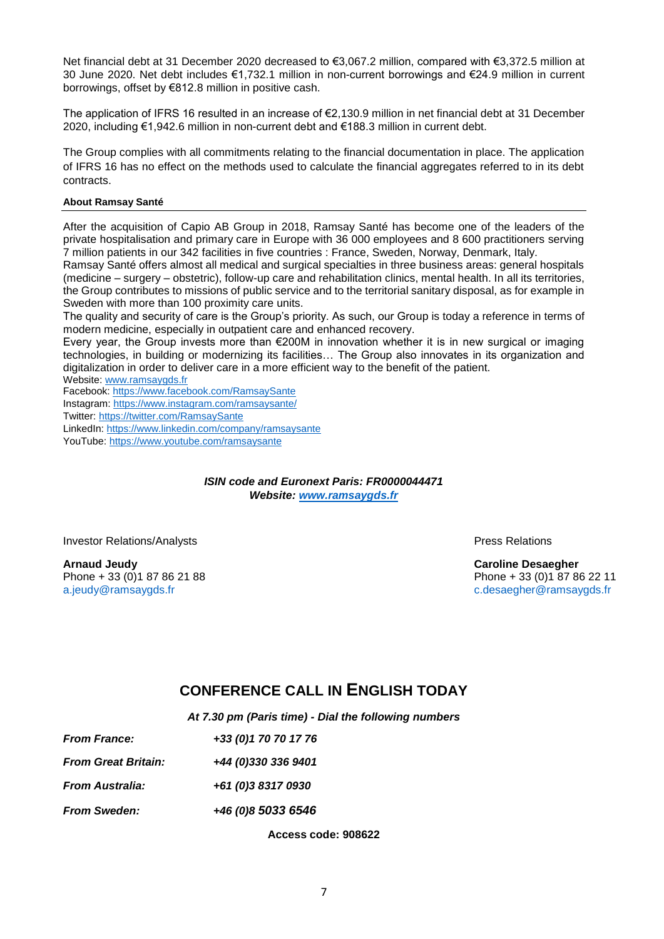Net financial debt at 31 December 2020 decreased to €3,067.2 million, compared with €3,372.5 million at 30 June 2020. Net debt includes €1,732.1 million in non-current borrowings and €24.9 million in current borrowings, offset by €812.8 million in positive cash.

The application of IFRS 16 resulted in an increase of €2,130.9 million in net financial debt at 31 December 2020, including €1,942.6 million in non-current debt and €188.3 million in current debt.

The Group complies with all commitments relating to the financial documentation in place. The application of IFRS 16 has no effect on the methods used to calculate the financial aggregates referred to in its debt contracts.

#### **About Ramsay Santé**

After the acquisition of Capio AB Group in 2018, Ramsay Santé has become one of the leaders of the private hospitalisation and primary care in Europe with 36 000 employees and 8 600 practitioners serving 7 million patients in our 342 facilities in five countries : France, Sweden, Norway, Denmark, Italy.

Ramsay Santé offers almost all medical and surgical specialties in three business areas: general hospitals (medicine – surgery – obstetric), follow-up care and rehabilitation clinics, mental health. In all its territories, the Group contributes to missions of public service and to the territorial sanitary disposal, as for example in Sweden with more than 100 proximity care units.

The quality and security of care is the Group's priority. As such, our Group is today a reference in terms of modern medicine, especially in outpatient care and enhanced recovery.

Every year, the Group invests more than €200M in innovation whether it is in new surgical or imaging technologies, in building or modernizing its facilities… The Group also innovates in its organization and digitalization in order to deliver care in a more efficient way to the benefit of the patient.

Website: [www.ramsaygds.fr](http://www.ramsaygds.fr/)

Facebook:<https://www.facebook.com/RamsaySante>

Instagram: <https://www.instagram.com/ramsaysante/>

Twitter[: https://twitter.com/RamsaySante](https://twitter.com/RamsaySante)

LinkedIn[: https://www.linkedin.com/company/ramsaysante](https://www.linkedin.com/company/ramsaysante) YouTube:<https://www.youtube.com/ramsaysante>

> *ISIN code and Euronext Paris: FR0000044471 Website: [www.ramsaygds.fr](http://www.ramsaygds.fr/)*

Investor Relations/Analysts **Press Relations Press Relations** 

**Arnaud Jeudy Caroline Desaegher**

Phone + 33 (0)1 87 86 21 88 Phone + 33 (0)1 87 86 22 11 [a.jeudy@ramsaygds.fr](mailto:a.jeudy@ramsaygds.fr) [c.desaegher@ramsaygds.fr](mailto:c.desaegher@ramsaygds.fr)

## **CONFERENCE CALL IN ENGLISH TODAY**

*At 7.30 pm (Paris time) - Dial the following numbers*

| +33 (0) 1 70 70 17 76 |
|-----------------------|
| +44 (0)330 336 9401   |
| +61 (0)3 8317 0930    |
| +46 (0)8 5033 6546    |
|                       |

**Access code: 908622**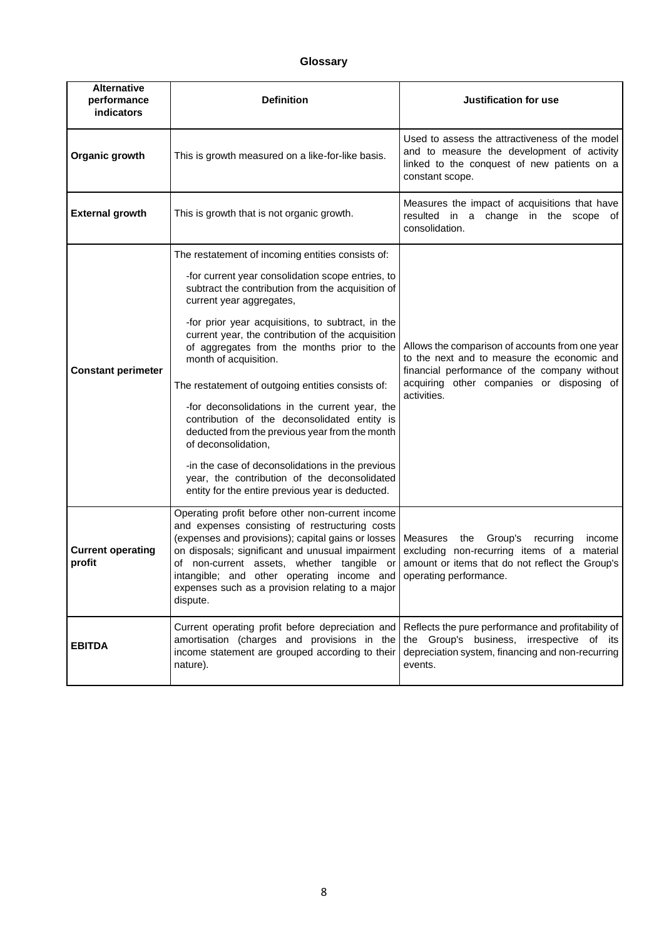### **Glossary**

| <b>Alternative</b><br>performance<br>indicators | <b>Definition</b>                                                                                                                                                                                                                                                                                                                                                        | Justification for use                                                                                                                                                                                      |  |
|-------------------------------------------------|--------------------------------------------------------------------------------------------------------------------------------------------------------------------------------------------------------------------------------------------------------------------------------------------------------------------------------------------------------------------------|------------------------------------------------------------------------------------------------------------------------------------------------------------------------------------------------------------|--|
| Organic growth                                  | This is growth measured on a like-for-like basis.                                                                                                                                                                                                                                                                                                                        | Used to assess the attractiveness of the model<br>and to measure the development of activity<br>linked to the conquest of new patients on a<br>constant scope.                                             |  |
| <b>External growth</b>                          | This is growth that is not organic growth.                                                                                                                                                                                                                                                                                                                               | Measures the impact of acquisitions that have<br>resulted in a change in the scope of<br>consolidation.                                                                                                    |  |
| <b>Constant perimeter</b>                       | The restatement of incoming entities consists of:                                                                                                                                                                                                                                                                                                                        |                                                                                                                                                                                                            |  |
|                                                 | -for current year consolidation scope entries, to<br>subtract the contribution from the acquisition of<br>current year aggregates,                                                                                                                                                                                                                                       | Allows the comparison of accounts from one year<br>to the next and to measure the economic and<br>financial performance of the company without<br>acquiring other companies or disposing of<br>activities. |  |
|                                                 | -for prior year acquisitions, to subtract, in the<br>current year, the contribution of the acquisition<br>of aggregates from the months prior to the<br>month of acquisition.                                                                                                                                                                                            |                                                                                                                                                                                                            |  |
|                                                 | The restatement of outgoing entities consists of:                                                                                                                                                                                                                                                                                                                        |                                                                                                                                                                                                            |  |
|                                                 | -for deconsolidations in the current year, the<br>contribution of the deconsolidated entity is<br>deducted from the previous year from the month<br>of deconsolidation,                                                                                                                                                                                                  |                                                                                                                                                                                                            |  |
|                                                 | -in the case of deconsolidations in the previous<br>year, the contribution of the deconsolidated<br>entity for the entire previous year is deducted.                                                                                                                                                                                                                     |                                                                                                                                                                                                            |  |
| <b>Current operating</b><br>profit              | Operating profit before other non-current income<br>and expenses consisting of restructuring costs<br>(expenses and provisions); capital gains or losses<br>on disposals; significant and unusual impairment<br>of non-current assets, whether tangible or<br>intangible; and other operating income and<br>expenses such as a provision relating to a major<br>dispute. | <b>Measures</b><br>the<br>Group's<br>recurring<br>income<br>excluding non-recurring items of a material<br>amount or items that do not reflect the Group's<br>operating performance.                       |  |
| <b>EBITDA</b>                                   | Current operating profit before depreciation and<br>amortisation (charges and provisions in the<br>income statement are grouped according to their<br>nature).                                                                                                                                                                                                           | Reflects the pure performance and profitability of<br>the Group's business, irrespective of its<br>depreciation system, financing and non-recurring<br>events.                                             |  |